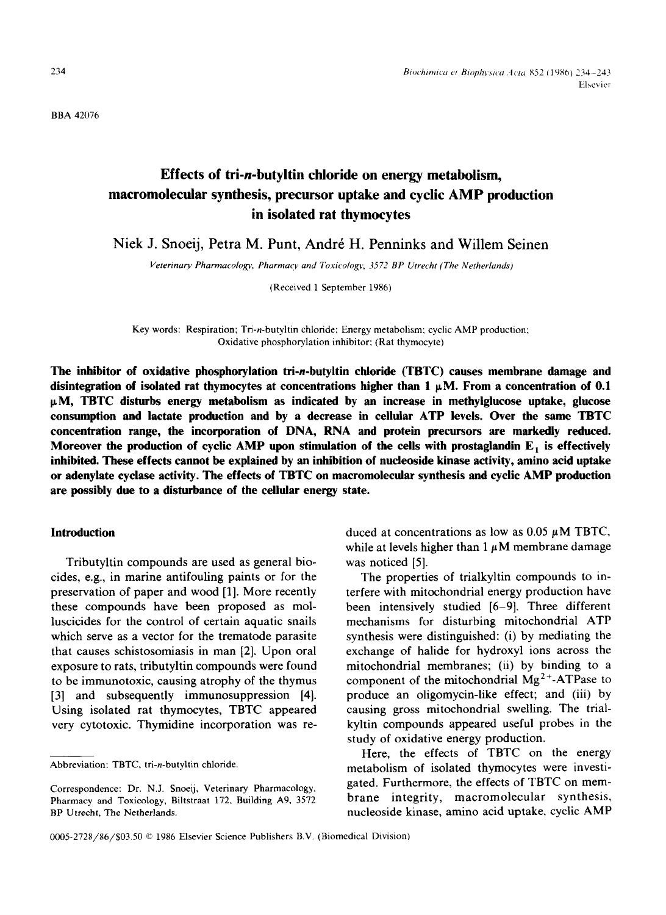BBA 42076

# **Effects of tri-n-butyltin chloride on energy metabolism, macromolecular synthesis, precursor uptake and cyclic AMP production in isolated rat thymocytes**

Niek J. Snoeij, Petra M. Punt, Andr6 H. Penninks and Willem Seinen

*Veterinary Pharmacology, Pharmacy and Toxicology, 3572 BP Utrecht (The Netherlands)* 

(Received 1 September 1986)

Key words: Respiration; Tri-n-butyltin chloride; Energy metabolism: cyclic AMP production: Oxidative phosphorylation inhibitor; (Rat thymocyte)

**The inhibitor of oxidative phosphorylation tri-n-butyltin chloride (TBTC) causes membrane damage and**  disintegration of isolated rat thymocytes at concentrations higher than  $1 \mu M$ . From a concentration of 0.1 **I~M, TBTC disturbs energy metabolism as indicated by an increase in methylglucose uptake, glucose consumption and lactate production and by a decrease in cellular ATP levels. Over the same TBTC concentration range, the incorporation of DNA, RNA and protein precursors are markedly reduced.**  Moreover the production of cyclic AMP upon stimulation of the cells with prostaglandin  $E_1$  is effectively **inhibited. These effects cannot be explained by an inhibition of nucleoside kinase activity, amino acid uptake or adenylate cyclase activity. The effects of TBTC on macromolecular synthesis and cyclic AMP production are possibly due to a disturbance of the cellular energy state.** 

## **Introduction**

Tributyltin compounds are used as general biocides, e.g., in marine antifouling paints or for the preservation of paper and wood [1]. More recently these compounds have been proposed as molluscicides for the control of certain aquatic snails which serve as a vector for the trematode parasite that causes schistosomiasis in man [2]. Upon oral exposure to rats, tributyltin compounds were found to be immunotoxic, causing atrophy of the thymus [3] and subsequently immunosuppression [4]. Using isolated rat thymocytes, TBTC appeared very cytotoxic. Thymidine incorporation was re-

Abbreviation: TBTC, tri-n-butyltin chloride.

duced at concentrations as low as  $0.05 \mu$ M TBTC, while at levels higher than  $1 \mu M$  membrane damage was noticed [5].

The properties of trialkyltin compounds to interfere with mitochondrial energy production have been intensively studied [6-9]. Three different mechanisms for disturbing mitochondrial ATP synthesis were distinguished: (i) by mediating the exchange of halide for hydroxyl ions across the mitochondrial membranes; (ii) by binding to a component of the mitochondrial  $Mg^{2+}-ATP$ ase to produce an oligomycin-like effect; and (iii) by causing gross mitochondrial swelling. The trialkyltin compounds appeared useful probes in the study of oxidative energy production.

Here, the effects of TBTC on the energy metabolism of isolated thymocytes were investigated. Furthermore, the effects of TBTC on membrane integrity, macromolecular synthesis, nucleoside kinase, amino acid uptake, cyclic AMP

Correspondence: Dr. N.J. Snoeij, Veterinary Pharmacology, Pharmacy and Toxicology, Biltstraat 172, Building *A9,* 3572 BP Utrecht, The Netherlands.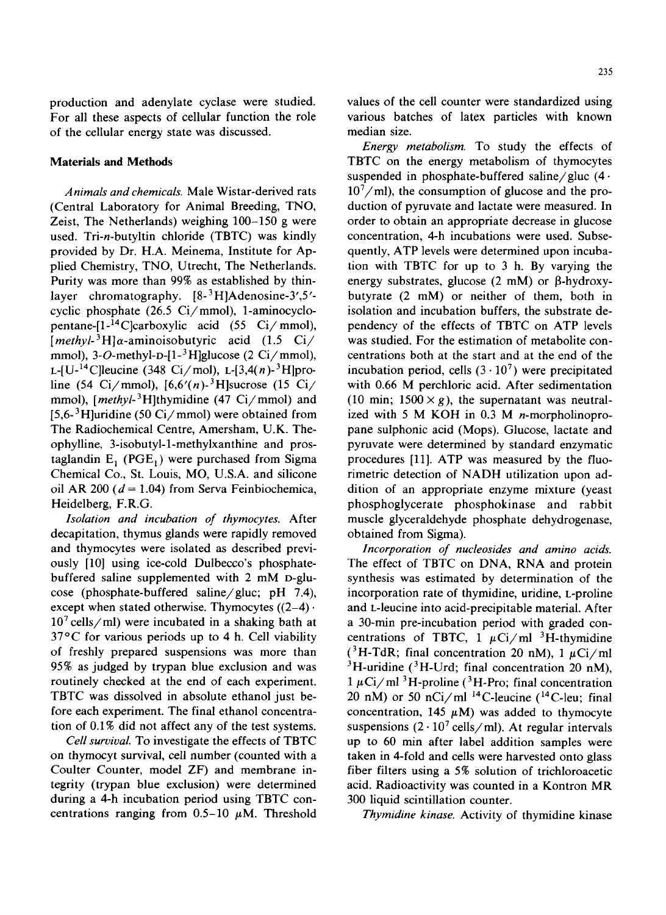production and adenylate cyclase were studied. For all these aspects of cellular function the role of the cellular energy state was discussed.

# **Materials and Methods**

*Animals and chemicals.* Male Wistar-derived rats (Central Laboratory for Animal Breeding, TNO, Zeist, The Netherlands) weighing 100-150 g were used. Tri-n-butyltin chloride (TBTC) was kindly provided by Dr. H.A. Meinema, Institute for Applied Chemistry, TNO, Utrecht, The Netherlands. Purity was more than 99% as established by thinlayer chromatography.  $[8-3H]$ Adenosine-3',5'cyclic phosphate (26.5 Ci/mmol), 1-aminocyclopentane- $[1$ <sup>-14</sup>C]carboxylic acid (55 Ci/mmol), *[methyl-3H]a-aminoisobutyric* acid (1.5 Ci/ mmol), 3-O-methyl-D-[1-<sup>3</sup>H]glucose (2 Ci/mmol), L-[U-<sup>14</sup>C]leucine (348 Ci/mol), L-[3,4(*n*)-<sup>3</sup>H]proline (54 Ci/mmol),  $[6,6'(n)-<sup>3</sup>H]$ sucrose (15 Ci/ mmol), *[methyl-3H]thymidine* (47 Ci/mmol) and  $[5.6 - 3]$  H luridine (50 Ci/mmol) were obtained from The Radiochemical Centre, Amersham, U.K. Theophylline, 3-isobutyl-l-methylxanthine and prostaglandin  $E_1$  (PGE<sub>1</sub>) were purchased from Sigma Chemical Co., St. Louis, MO, U.S.A. and silicone oil AR 200 ( $d = 1.04$ ) from Serva Feinbiochemica, Heidelberg, F.R.G.

*Isolation and incubation of thymocytes.* After decapitation, thymus glands were rapidly removed and thymocytes were isolated as described previously [10] using ice-cold Dulbecco's phosphatebuffered saline supplemented with 2 mM D-glucose (phosphate-buffered saline/gluc; pH 7.4), except when stated otherwise. Thymocytes  $((2-4)$ .  $10<sup>7</sup>$  cells/ml) were incubated in a shaking bath at 37°C for various periods up to 4 h. Cell viability of freshly prepared suspensions was more than 95% as judged by trypan blue exclusion and was routinely checked at the end of each experiment. TBTC was dissolved in absolute ethanol just before each experiment. The final ethanol concentration of 0.1% did not affect any of the test systems.

*Cell survival.* To investigate the effects of TBTC on thymocyt survival, cell number (counted with a Coulter Counter, model ZF) and membrane integrity (trypan blue exclusion) were determined during a 4-h incubation period using TBTC concentrations ranging from  $0.5-10 \mu M$ . Threshold values of the cell counter were standardized using various batches of latex particles with known median size.

*Energy metabolism.* To study the effects of TBTC on the energy metabolism of thymocytes suspended in phosphate-buffered saline/gluc  $(4 \cdot$  $10^7$ /ml), the consumption of glucose and the production of pyruvate and lactate were measured. In order to obtain an appropriate decrease in glucose concentration, 4-h incubations were used. Subsequently, ATP levels were determined upon incubation with TBTC for up to 3 h. By varying the energy substrates, glucose  $(2 \text{ mM})$  or  $\beta$ -hydroxybutyrate (2 mM) or neither of them, both in isolation and incubation buffers, the substrate dependency of the effects of TBTC on ATP levels was studied. For the estimation of metabolite concentrations both at the start and at the end of the incubation period, cells  $(3 \cdot 10^7)$  were precipitated with 0.66 M perchloric acid. After sedimentation (10 min;  $1500 \times g$ ), the supernatant was neutralized with 5 M KOH in 0.3 M n-morpholinopropane sulphonic acid (Mops). Glucose, lactate and pyruvate were determined by standard enzymatic procedures [11]. ATP was measured by the fluorimetric detection of NADH utilization upon addition of an appropriate enzyme mixture (yeast phosphoglycerate phosphokinase and rabbit muscle glyceraldehyde phosphate dehydrogenase, obtained from Sigma).

*Incorporation of nucleosides and amino acids.*  The effect of TBTC on DNA, RNA and protein synthesis was estimated by determination of the incorporation rate of thymidine, uridine, L-proline and L-leucine into acid-precipitable material. After a 30-min pre-incubation period with graded concentrations of TBTC, 1  $\mu$ Ci/ml<sup>3</sup>H-thymidine  $(^{3}H-TdR$ ; final concentration 20 nM), 1  $\mu$ Ci/ml  $3^3$ H-uridine ( $3^3$ H-Urd; final concentration 20 nM),  $1~\mu$ Ci/ml <sup>3</sup>H-proline (<sup>3</sup>H-Pro; final concentration 20 nM) or 50 nCi/ml <sup>14</sup>C-leucine (<sup>14</sup>C-leu; final concentration, 145  $\mu$ M) was added to thymocyte suspensions  $(2 \cdot 10^7 \text{ cells/m})$ . At regular intervals up to 60 min after label addition samples were taken in 4-fold and cells were harvested onto glass fiber filters using a 5% solution of trichloroacetic acid. Radioactivity was counted in a Kontron MR 300 liquid scintillation counter.

*Thymidine kinase.* Activity of thymidine kinase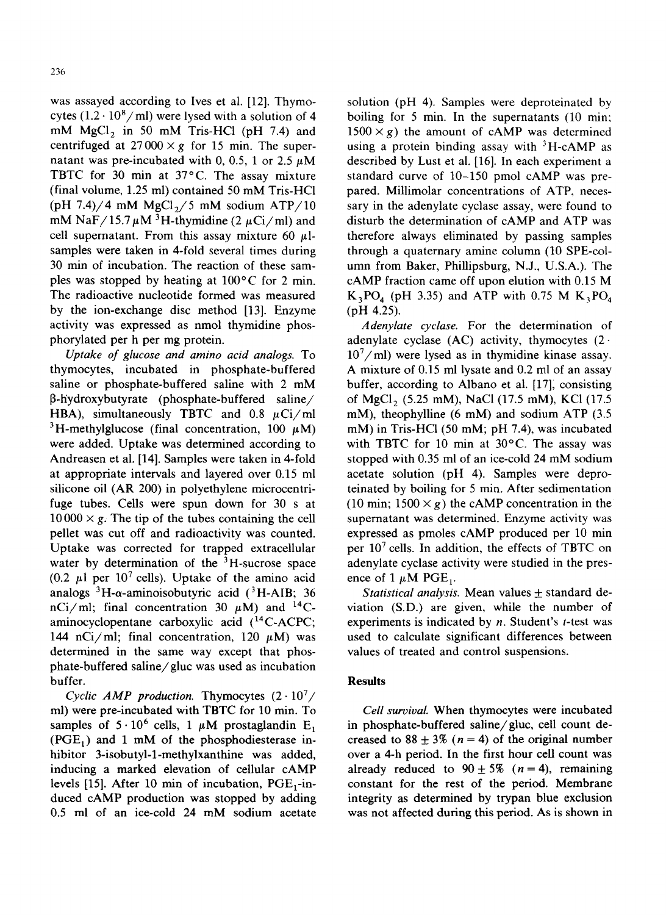was assayed according to Ives et al. [12]. Thymocytes  $(1.2 \cdot 10^8$ /ml) were lysed with a solution of 4 mM MgCl<sub>2</sub> in 50 mM Tris-HCl (pH 7.4) and centrifuged at  $27000 \times g$  for 15 min. The supernatant was pre-incubated with 0, 0.5, 1 or 2.5  $\mu$ M TBTC for 30 min at 37°C. The assay mixture (final volume, 1.25 ml) contained 50 mM Tris-HC1 (pH 7.4)/4 mM  $MgCl<sub>2</sub>/5$  mM sodium ATP/10 mM NaF/15.7  $\mu$ M <sup>3</sup>H-thymidine (2  $\mu$ Ci/ml) and cell supernatant. From this assay mixture 60  $\mu$ lsamples were taken in 4-fold several times during 30 min of incubation. The reaction of these samples was stopped by heating at 100°C for 2 min. The radioactive nucleotide formed was measured by the ion-exchange disc method [13]. Enzyme activity was expressed as nmol thymidine phosphorylated per h per mg protein.

*Uptake of glucose and amino acid analogs.* To thymocytes, incubated in phosphate-buffered saline or phosphate-buffered saline with 2 mM  $\beta$ -hydroxybutyrate (phosphate-buffered saline/ HBA), simultaneously TBTC and 0.8  $\mu$ Ci/ml <sup>3</sup>H-methylglucose (final concentration, 100  $\mu$ M) were added. Uptake was determined according to Andreasen et al. [14]. Samples were taken in 4-fold at appropriate intervals and layered over 0.15 ml silicone oil (AR 200) in polyethylene microcentrifuge tubes. Cells were spun down for 30 s at  $10000 \times g$ . The tip of the tubes containing the cell pellet was cut off and radioactivity was counted. Uptake was corrected for trapped extracellular water by determination of the <sup>3</sup>H-sucrose space (0.2  $\mu$ l per 10<sup>7</sup> cells). Uptake of the amino acid analogs  $3H-\alpha$ -aminoisobutyric acid ( $3H-AIB$ ; 36 nCi/ml; final concentration 30  $\mu$ M) and <sup>14</sup>Caminocyclopentane carboxylic acid (14C-ACPC; 144 nCi/ml; final concentration, 120  $\mu$ M) was determined in the same way except that phosphate-buffered saline/gluc was used as incubation buffer.

*Cyclic AMP production.* Thymocytes  $(2 \cdot 10^7/$ ml) were pre-incubated with TBTC for 10 min. To samples of  $5.10^6$  cells, 1  $\mu$ M prostaglandin E<sub>1</sub>  $(PGE_1)$  and 1 mM of the phosphodiesterase inhibitor 3-isobutyl-l-methylxanthine was added, inducing a marked elevation of cellular cAMP levels  $[15]$ . After 10 min of incubation, PGE<sub>1</sub>-induced cAMP production was stopped by adding 0.5 ml of an ice-cold 24 mM sodium acetate solution (pH 4). Samples were deproteinated by boiling for 5 min. In the supernatants  $(10 \text{ min};$  $1500 \times g$ ) the amount of cAMP was determined using a protein binding assay with  $3H$ -cAMP as described by Lust et al. [16]. In each experiment a standard curve of 10-150 pmol cAMP was prepared. Millimolar concentrations of ATP, necessary in the adenylate cyclase assay, were found to disturb the determination of cAMP and ATP was therefore always eliminated by passing samples through a quaternary amine column (10 SPE-column from Baker, Phillipsburg, N.J., U.S.A.). The cAMP fraction came off upon elution with 0.15 M  $K_2PO_4$  (pH 3.35) and ATP with 0.75 M  $K_2PO_4$ (pH 4.25).

*Adenylate cyclase.* For the determination of adenylate cyclase  $(AC)$  activity, thymocytes  $(2 \cdot$  $10^7$ /ml) were lysed as in thymidine kinase assay. A mixture of 0.15 ml lysate and 0.2 ml of an assay buffer, according to Albano et al. [17], consisting of MgCl<sub>2</sub> (5.25 mM), NaCl (17.5 mM), KCl (17.5 mM), theophylline (6 mM) and sodium ATP (3.5) mM) in Tris-HC1 (50 mM; pH 7.4), was incubated with TBTC for 10 min at 30°C. The assay was stopped with 0.35 ml of an ice-cold 24 mM sodium acetate solution (pH 4). Samples were deproteinated by boiling for 5 min. After sedimentation (10 min;  $1500 \times g$ ) the cAMP concentration in the supernatant was determined. Enzyme activity was expressed as pmoles cAMP produced per 10 min per  $10<sup>7</sup>$  cells. In addition, the effects of TBTC on adenylate cyclase activity were studied in the presence of 1  $\mu$ M PGE<sub>1</sub>.

*Statistical analysis.* Mean values  $\pm$  standard deviation (S.D.) are given, while the number of experiments is indicated by  $n$ . Student's  $t$ -test was used to calculate significant differences between values of treated and control suspensions.

# **Results**

*Cell survival.* When thymocytes were incubated in phosphate-buffered saline/gluc, cell count decreased to  $88 \pm 3\%$  (n = 4) of the original number over a 4-h period. In the first hour cell count was already reduced to  $90 \pm 5\%$  (n = 4), remaining constant for the rest of the period. Membrane integrity as determined by trypan blue exclusion was not affected during this period. As is shown in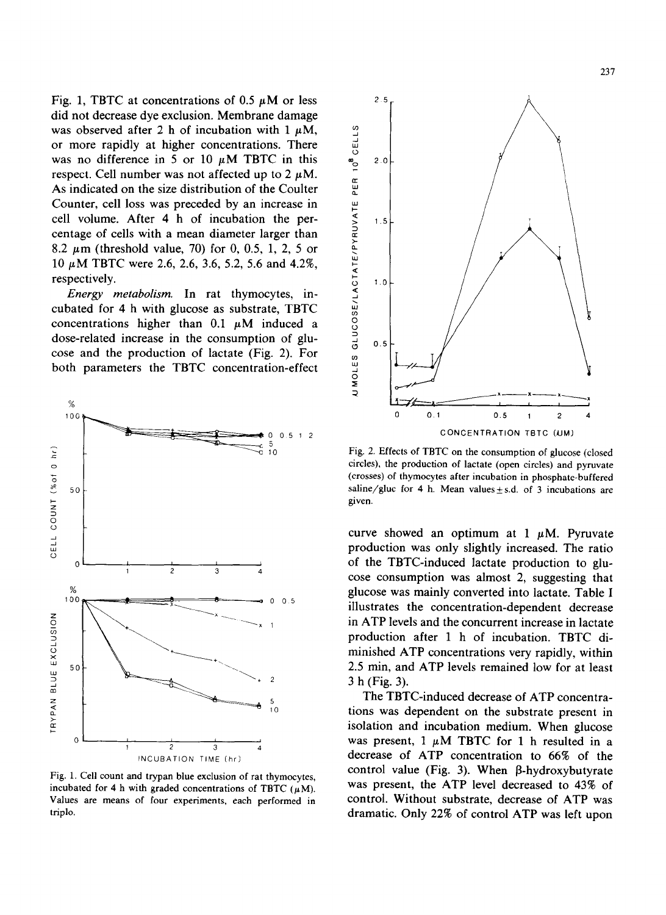Fig. 1, TBTC at concentrations of  $0.5 \mu M$  or less did not decrease dye exclusion. Membrane damage was observed after 2 h of incubation with 1  $\mu$ M, or more rapidly at higher concentrations. There was no difference in 5 or 10  $\mu$ M TBTC in this respect. Cell number was not affected up to 2  $\mu$ M. As indicated on the size distribution of the Coulter Counter, cell loss was preceded by an increase in cell volume. After 4 h of incubation the percentage of cells with a mean diameter larger than 8.2  $\mu$ m (threshold value, 70) for 0, 0.5, 1, 2, 5 or  $10 \mu M$  TBTC were 2.6, 2.6, 3.6, 5.2, 5.6 and 4.2%, respectively.

*Energy metabolism.* In rat thymocytes, incubated for 4 h with glucose as substrate, TBTC concentrations higher than  $0.1 \mu M$  induced a dose-related increase in the consumption of glucose and the production of lactate (Fig. 2). For both parameters the TBTC concentration-effect



Fig. 1. Cell count and trypan blue exclusion of rat thymocytes, incubated for 4 h with graded concentrations of TBTC ( $\mu$ M). Values are means of four experiments, each performed in triplo.



Fig. 2. Effects of TBTC on the consumption of glucose (closed circles), the production of lactate (open circles) and pyruvate (crosses) of thymocytes after incubation in phosphate-buffered saline/gluc for 4 h. Mean values  $\pm$  s.d. of 3 incubations are given.

curve showed an optimum at  $1 \mu M$ . Pyruvate production was only slightly increased. The ratio of the TBTC-induced lactate production to glucose consumption was almost 2, suggesting that glucose was mainly converted into lactate. Table I illustrates the concentration-dependent decrease in ATP levels and the concurrent increase in lactate production after 1 h of incubation. TBTC diminished ATP concentrations very rapidly, within 2.5 min, and ATP levels remained low for at least 3 h (Fig. 3).

The TBTC-induced decrease of ATP concentrations was dependent on the substrate present in isolation and incubation medium. When glucose was present,  $1 \mu M$  TBTC for 1 h resulted in a decrease of ATP concentration to 66% of the control value (Fig. 3). When  $\beta$ -hydroxybutyrate was present, the ATP level decreased to 43% of control. Without substrate, decrease of ATP was dramatic. Only 22% of control ATP was left upon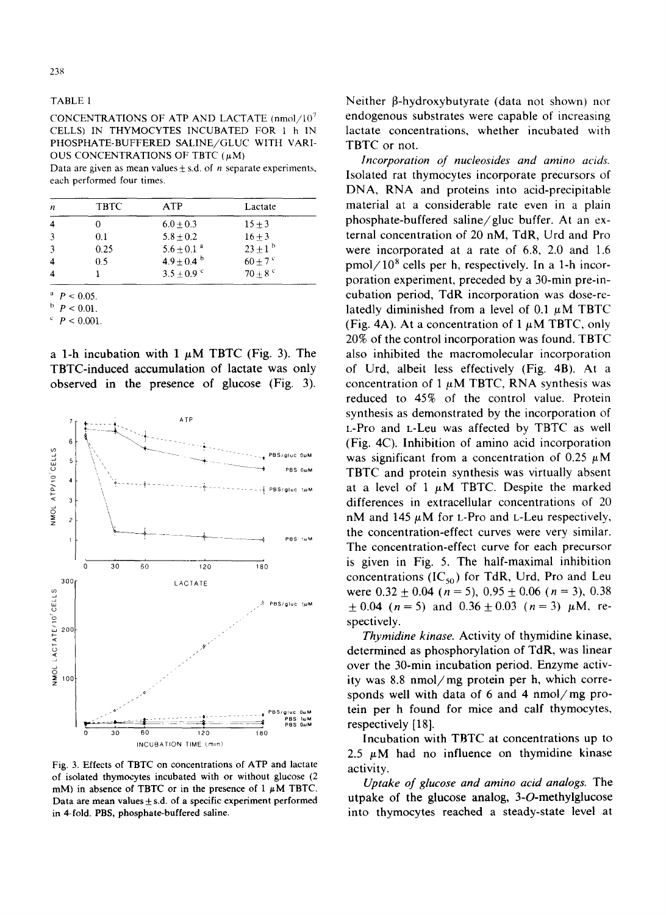#### TABLE I

CONCENTRATIONS OF ATP AND LACTATE  $(mmol)/10^7$ CELLS) IN THYMOCYTES INCUBATED FOR 1 h IN PHOSPHATE-BUFFERED SALINE/GLUC WITH VARI-OUS CONCENTRATIONS OF TBTC  $(\mu M)$ 

Data are given as mean values  $\pm$  s.d. of *n* separate experiments, each performed four times.

| n  | <b>TBTC</b> | ATP                        | Lactate                 |
|----|-------------|----------------------------|-------------------------|
| 4  |             | $6.0 \pm 0.3$              | $15 + 3$                |
| 3  | 0.1         | $5.8 + 0.2$                | $16 + 3$                |
| -3 | 0.25        | $5.6 \pm 0.1$ <sup>a</sup> | $23 \pm 1$ <sup>b</sup> |
| 4  | 0.5         | $4.9 + 0.4^{b}$            | $60 + 7$ °              |
|    |             | $3.5 + 0.9$ °              | $70 + 8$ °              |

 $\bf{a}$  $P < 0.05$ .

 $b$   $P < 0.01$ .

 $P < 0.001$ .

a 1-h incubation with 1  $\mu$ M TBTC (Fig. 3). The TBTC-induced accumulation of lactate was only observed in the presence of glucose (Fig. 3).



Fig. 3. Effects of TBTC on concentrations of ATP and lactate of isolated thymocytes incubated with or without glucose (2 mM) in absence of TBTC or in the presence of  $1 \mu$ M TBTC. Data are mean values  $\pm$  s.d. of a specific experiment performed in 4-fold. PBS, phosphate-buffered saline.

Neither β-hydroxybutyrate (data not shown) nor endogenous substrates were capable of increasing lactate concentrations, whether incubated with TBTC or not.

*Incorporation of nucleosides and amino acids.*  Isolated rat thymocytes incorporate precursors of DNA, RNA and proteins into acid-precipitable material at a considerable rate even in a plain phosphate-buffered saline/gluc buffer. At an external concentration of 20 nM, TdR, Urd and Pro were incorporated at a rate of 6.8, 2.0 and 1.6  $pmol/10<sup>8</sup>$  cells per h, respectively. In a 1-h incorporation experiment, preceded by a 30-min pre-incubation period, TdR incorporation was dose-relatedly diminished from a level of 0.1  $\mu$ M TBTC (Fig. 4A). At a concentration of  $1 \mu M$  TBTC, only 20% of the control incorporation was found. TBTC also inhibited the macromolecular incorporation of Urd, albeit less effectively (Fig. 4B). At a concentration of  $1 \mu M$  TBTC, RNA synthesis was reduced to 45% of the control value. Protein synthesis as demonstrated by the incorporation of L-Pro and L-Leu was affected by TBTC as well (Fig. 4C). Inhibition of amino acid incorporation was significant from a concentration of 0.25  $\mu$ M TBTC and protein synthesis was virtually absent at a level of  $1 \mu M$  TBTC. Despite the marked differences in extracellular concentrations of 20 nM and 145  $\mu$ M for L-Pro and L-Leu respectively, the concentration-effect curves were very similar. The concentration-effect curve for each precursor is given in Fig. 5. The half-maximal inhibition concentrations  $(IC_{50})$  for TdR, Urd, Pro and Leu were  $0.32 \pm 0.04$  ( $n = 5$ ),  $0.95 \pm 0.06$  ( $n = 3$ ), 0.38  $+0.04$  (n = 5) and  $0.36\pm0.03$  (n = 3)  $\mu$ M, respectively.

*Thymidine kinase.* Activity of thymidine kinase, determined as phosphorylation of TdR, was linear over the 30-min incubation period. Enzyme activity was 8.8 nmol/mg protein per h, which corresponds well with data of 6 and 4 nmol/mg protein per h found for mice and calf thymocytes, respectively [18].

Incubation with TBTC at concentrations up to 2.5  $\mu$ M had no influence on thymidine kinase activity.

*Uptake of glucose and amino acid analogs.* The utpake of the glucose analog, 3-O-methylglucose into thymocytes reached a steady-state level at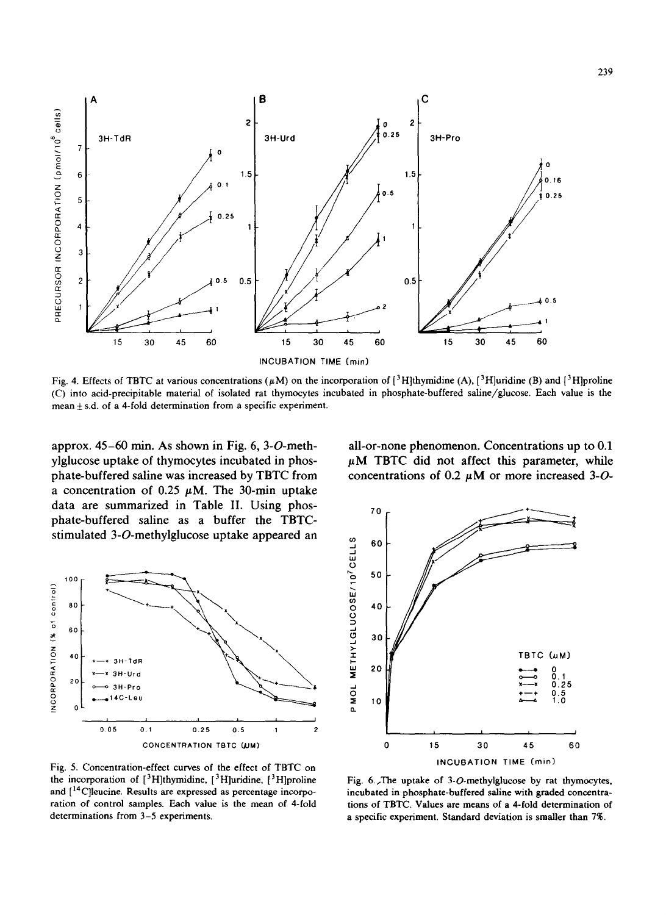

Fig. 4. Effects of TBTC at various concentrations ( $\mu$ M) on the incorporation of [3H]thymidine (A), [3H]uridine (B) and [3H]proline (C) into acid-precipitable material of isolated rat thymocytes incubated in phosphate-buffered saline/glucose. Each value is the  $mean + s.d.$  of a 4-fold determination from a specific experiment.

**approx. 45-60 min. As shown in Fig. 6, 3-O-methylglucose uptake of thymocytes incubated in phosphate-buffered saline was increased by TBTC from**  a concentration of  $0.25 \mu M$ . The 30-min uptake **data are summarized in Table II. Using phosphate-buffered saline as a buffer the TBTCstimulated 3-O-methylglucose uptake appeared an** 



Fig. 5. Concentration-effect curves of the effect of TBTC on the incorporation of  $[^3H]$ thymidine,  $[^3H]$ uridine,  $[^3H]$ proline and [<sup>14</sup>C]leucine. Results are expressed as percentage incorporation of control samples. Each value is the mean of 4-fold determinations from 3-5 experiments.

**all-or-none phenomenon. Concentrations up to 0.1 #M TBTC did not affect this parameter, while concentrations of 0.2 #M or more increased 3-O-**



Fig. 6., The uptake of 3-O-methylglucose by rat thymocytes, incubated in phosphate-buffered saline with graded concentrations of TBTC. Values are means of a 4-fold determination of a specific experiment. Standard deviation is smaller than 7%.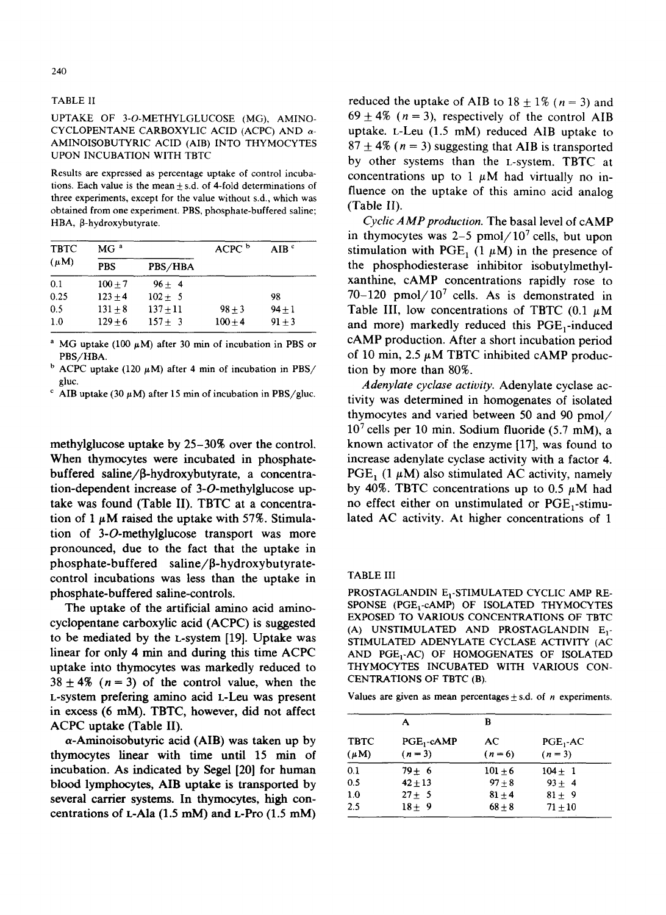### UPTAKE OF 3-O-METHYLGLUCOSE (MG), AMINO-CYCLOPENTANE CARBOXYLIC ACID (ACPC) AND a-AMINOISOBUTYRIC ACID (AIB) INTO THYMOCYTES UPON INCUBATION WITH TBTC

Results are expressed as percentage uptake of control incubations. Each value is the mean  $\pm$  s.d. of 4-fold determinations of three experiments, except for the value without s.d., which was obtained from one experiment. PBS, phosphate-buffered saline; HBA, B-hydroxybutyrate.

| <b>TBTC</b> | MG <sup>a</sup> |            | ACPC <sup>b</sup> | AIB <sup>c</sup> |
|-------------|-----------------|------------|-------------------|------------------|
| $(\mu M)$   | <b>PBS</b>      | PBS/HBA    |                   |                  |
| 0.1         | $100 + 7$       | $96 + 4$   |                   |                  |
| 0.25        | $123 + 4$       | $102 + 5$  |                   | 98               |
| 0.5         | $131 + 8$       | $137 + 11$ | $98 + 3$          | $94 + 1$         |
| 1.0         | $129 + 6$       | $157 + 3$  | $100 + 4$         | $91 + 3$         |

MG uptake (100  $\mu$ M) after 30 min of incubation in PBS or PBS/HBA.

 $<sup>b</sup>$  ACPC uptake (120  $\mu$ M) after 4 min of incubation in PBS/</sup> gluc.

 $\epsilon$  AIB uptake (30  $\mu$ M) after 15 min of incubation in PBS/gluc.

methylglucose uptake by 25-30% over the control. When thymocytes were incubated in phosphatebuffered saline/ $\beta$ -hydroxybutyrate, a concentration-dependent increase of 3-O-methylglucose uptake was found (Table II). TBTC at a concentration of 1  $\mu$ M raised the uptake with 57%. Stimulation of 3-O-methylglucose transport was more pronounced, due to the fact that the uptake in phosphate-buffered saline/ $\beta$ -hydroxybutyratecontrol incubations was less than the uptake in phosphate-buffered saline-controls.

The uptake of the artificial amino acid aminocyclopentane carboxylic acid (ACPC) is suggested to be mediated by the L-system [19]. Uptake was linear for only 4 min and during this time ACPC uptake into thymocytes was markedly reduced to  $38 \pm 4\%$  (n = 3) of the control value, when the L-system prefering amino acid L-Leu was present in excess (6 mM). TBTC, however, did not affect ACPC uptake (Table II).

 $\alpha$ -Aminoisobutyric acid (AIB) was taken up by thymocytes linear with time until 15 min of incubation. As indicated by Segel [20] for human blood lymphocytes, AIB uptake is transported by several carrier systems. In thymocytes, high concentrations of L-AIa (1.5 mM) and L-Pro (1.5 mM)

reduced the uptake of AIB to  $18 \pm 1\%$  ( $n = 3$ ) and  $69 \pm 4\%$  ( $n = 3$ ), respectively of the control AIB uptake. L-Leu (1.5 mM) reduced AIB uptake to  $87 \pm 4\%$  (n = 3) suggesting that AIB is transported by other systems than the L-system. TBTC at concentrations up to 1  $\mu$ M had virtually no influence on the uptake of this amino acid analog (Table II).

*Cyclic AMP production.* The basal level of cAMP in thymocytes was  $2-5$  pmol/10<sup>7</sup> cells, but upon stimulation with PGE<sub>1</sub> (1  $\mu$ M) in the presence of the phosphodiesterase inhibitor isobutylmethylxanthine, cAMP concentrations rapidly rose to  $70-120$  pmol $/10^7$  cells. As is demonstrated in Table III, low concentrations of TBTC (0.1  $\mu$ M and more) markedly reduced this  $PGE_1$ -induced cAMP production. After a short incubation period of 10 min, 2.5  $\mu$ M TBTC inhibited cAMP production by more than 80%.

*Adenylate cyclase actioity.* Adenylate cyclase activity was determined in homogenates of isolated thymocytes and varied between 50 and 90 pmol/  $10<sup>7</sup>$  cells per 10 min. Sodium fluoride (5.7 mM), a known activator of the enzyme [17], was found to increase adenylate cyclase activity with a factor 4. PGE,  $(1 \mu M)$  also stimulated AC activity, namely by 40%. TBTC concentrations up to 0.5  $\mu$ M had no effect either on unstimulated or  $PGE<sub>1</sub>$ -stimulated AC activity. At higher concentrations of 1

#### TABLE III

PROSTAGLANDIN E<sub>1</sub>-STIMULATED CYCLIC AMP RE-SPONSE (PGE<sub>1</sub>-cAMP) OF ISOLATED THYMOCYTES EXPOSED TO VARIOUS CONCENTRATIONS OF TBTC (A) UNSTIMULATED AND PROSTAGLANDIN  $E_1$ -STIMULATED ADENYLATE CYCLASE ACTIVITY (AC AND PGE<sub>1</sub>-AC) OF HOMOGENATES OF ISOLATED THYMOCYTES INCUBATED WITH VARIOUS CON-CENTRATIONS OF TBTC (B).

Values are given as mean percentages  $\pm$  s.d. of *n* experiments.

|                          | A                                   | B               |                         |
|--------------------------|-------------------------------------|-----------------|-------------------------|
| <b>TBTC</b><br>$(\mu M)$ | PGE <sub>1</sub> -cAMP<br>$(n = 3)$ | AC<br>$(n = 6)$ | $PGE1$ -AC<br>$(n = 3)$ |
| 0.1                      | $79 + 6$                            | $101 + 6$       | $104 + 1$               |
| 0.5                      | $42 + 13$                           | $97 + 8$        | $93 + 4$                |
| 1.0                      | $27 + 5$                            | $81 + 4$        | $81 \pm 9$              |
| 2.5                      | $18 + 9$                            | $68 + 8$        | $71 + 10$               |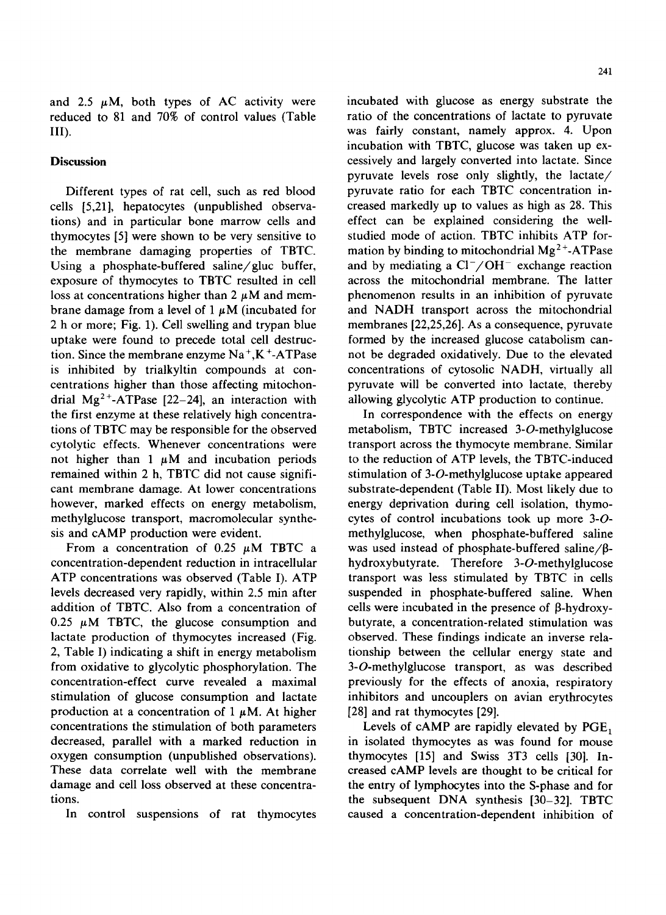and 2.5  $\mu$ M, both types of AC activity were reduced to 81 and 70% of control values (Table III).

# **Discussion**

Different types of rat cell, such as red blood cells [5,21], hepatocytes (unpublished observations) and in particular bone marrow cells and thymocytes [5] were shown to be very sensitive to the membrane damaging properties of TBTC. Using a phosphate-buffered saline/gluc buffer, exposure of thymocytes to TBTC resulted in cell loss at concentrations higher than  $2 \mu M$  and membrane damage from a level of  $1 \mu M$  (incubated for 2 h or more; Fig. 1). Cell swelling and trypan blue uptake were found to precede total cell destruction. Since the membrane enzyme  $Na^+, K^+$ -ATPase is inhibited by trialkyltin compounds at concentrations higher than those affecting mitochondrial  $Mg^{2+}$ -ATPase [22-24], an interaction with the first enzyme at these relatively high concentrations of TBTC may be responsible for the observed cytolytic effects. Whenever concentrations were not higher than 1  $\mu$ M and incubation periods remained within 2 h, TBTC did not cause significant membrane damage. At lower concentrations however, marked effects on energy metabolism, methylglucose transport, macromolecular synthesis and cAMP production were evident.

From a concentration of  $0.25 \mu M$  TBTC a concentration-dependent reduction in intracellular ATP concentrations was observed (Table I). ATP levels decreased very rapidly, within 2.5 min after addition of TBTC. Also from a concentration of 0.25  $\mu$ M TBTC, the glucose consumption and lactate production of thymocytes increased (Fig. 2, Table I) indicating a shift in energy metabolism from oxidative to glycolytic phosphorylation. The concentration-effect curve revealed a maximal stimulation of glucose consumption and lactate production at a concentration of  $1 \mu M$ . At higher concentrations the stimulation of both parameters decreased, parallel with a marked reduction in oxygen consumption (unpublished observations). These data correlate well with the membrane damage and cell loss observed at these concentrations.

In control suspensions of rat thymocytes

incubated with glucose as energy substrate the ratio of the concentrations of lactate to pyruvate was fairly constant, namely approx. 4. Upon incubation with TBTC, glucose was taken up excessively and largely converted into lactate. Since pyruvate levels rose only slightly, the lactate/ pyruvate ratio for each TBTC concentration increased markedly up to values as high as 28. This effect can be explained considering the wellstudied mode of action. TBTC inhibits ATP formation by binding to mitochondrial  $Mg^{2+}$ -ATPase and by mediating a  $Cl^-/OH^-$  exchange reaction across the mitochondrial membrane. The latter phenomenon results in an inhibition of pyruvate and NADH transport across the mitochondrial membranes [22,25,26]. As a consequence, pyruvate formed by the increased glucose catabolism cannot be degraded oxidatively. Due to the elevated concentrations of cytosolic NADH, virtually all pyruvate will be converted into lactate, thereby allowing glycolytic ATP production to continue.

In correspondence with the effects on energy metabolism, TBTC increased 3-O-methylglucose transport across the thymocyte membrane. Similar to the reduction of ATP levels, the TBTC-induced stimulation of 3-O-methylglucose uptake appeared substrate-dependent (Table II). Most likely due to energy deprivation during cell isolation, thymocytes of control incubations took up more 3-0 methylglucose, when phosphate-buffered saline was used instead of phosphate-buffered saline/ $\beta$ hydroxybutyrate. Therefore 3-O-methylglucose transport was less stimulated by TBTC in cells suspended in phosphate-buffered saline. When cells were incubated in the presence of  $\beta$ -hydroxybutyrate, a concentration-related stimulation was observed. These findings indicate an inverse relationship between the cellular energy state and 3-O-methylglucose transport, as was described previously for the effects of anoxia, respiratory inhibitors and uncouplers on avian erythrocytes [28] and rat thymocytes [29].

Levels of cAMP are rapidly elevated by  $PGE<sub>1</sub>$ in isolated thymocytes as was found for mouse thymocytes [15] and Swiss 3T3 cells [30]. Increased cAMP levels are thought to be critical for the entry of lymphocytes into the S-phase and for the subsequent DNA synthesis [30-32]. TBTC caused a concentration-dependent inhibition of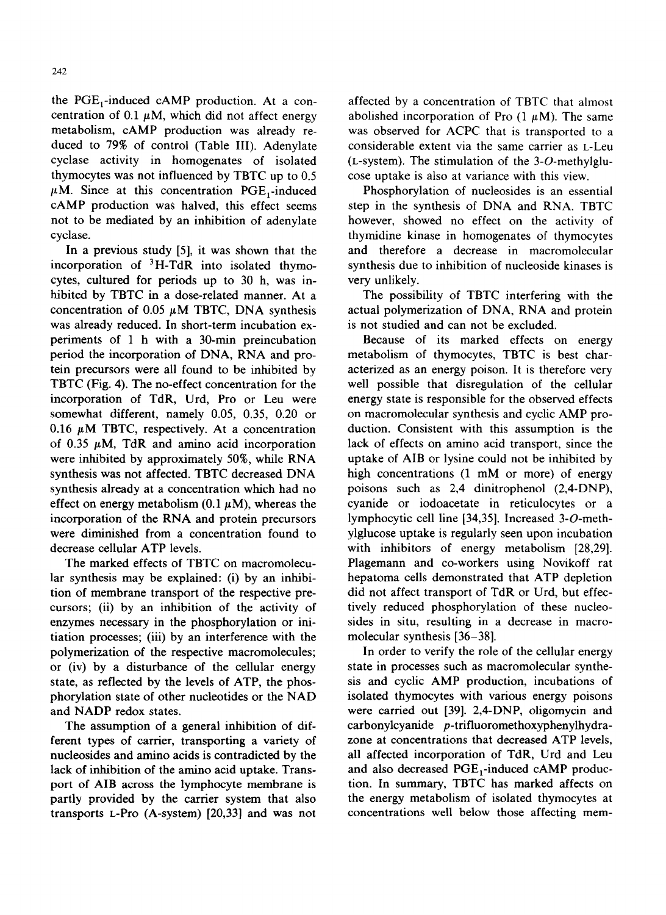the  $PGE_1$ -induced cAMP production. At a concentration of 0.1  $\mu$ M, which did not affect energy metabolism, cAMP production was already reduced to 79% of control (Table III). Adenylate cyclase activity in homogenates of isolated thymocytes was not influenced by TBTC up to 0.5  $\mu$ M. Since at this concentration PGE<sub>1</sub>-induced cAMP production was halved, this effect seems not to be mediated by an inhibition of adenylate cyclase.

In a previous study [5], it was shown that the incorporation of  ${}^{3}H$ -TdR into isolated thymocytes, cultured for periods up to 30 h, was inhibited by TBTC in a dose-related manner. At a concentration of 0.05  $\mu$ M TBTC, DNA synthesis was already reduced. In short-term incubation experiments of 1 h with a 30-min preincubation period the incorporation of DNA, RNA and protein precursors were all found to be inhibited by TBTC (Fig. 4). The no-effect concentration for the incorporation of TdR, Urd, Pro or Leu were somewhat different, namely 0.05, 0.35, 0.20 or 0.16  $\mu$ M TBTC, respectively. At a concentration of 0.35  $\mu$ M, TdR and amino acid incorporation were inhibited by approximately 50%, while RNA synthesis was not affected. TBTC decreased DNA synthesis already at a concentration which had no effect on energy metabolism (0.1  $\mu$ M), whereas the incorporation of the RNA and protein precursors were diminished from a concentration found to decrease cellular ATP levels.

The marked effects of TBTC on macromolecular synthesis may be explained: (i) by an inhibition of membrane transport of the respective precursors; (ii) by an inhibition of the activity of enzymes necessary in the phosphorylation or initiation processes; (iii) by an interference with the polymerization of the respective macromolecules; or (iv) by a disturbance of the cellular energy state, as reflected by the levels of ATP, the phosphorylation state of other nucleotides or the NAD and NADP redox states.

The assumption of a general inhibition of different types of carrier, transporting a variety of nucleosides and amino acids is contradicted by the lack of inhibition of the amino acid uptake. Transport of AIB across the lymphocyte membrane is partly provided by the carrier system that also transports L-Pro (A-system) [20,33] and was not

affected by a concentration of TBTC that almost abolished incorporation of Pro  $(1 \mu M)$ . The same was observed for ACPC that is transported to a considerable extent via the same carrier as L-Leu (L-system). The stimulation of the 3-O-methylglucose uptake is also at variance with this view.

Phosphorylation of nucleosides is an essential step in the synthesis of DNA and RNA. TBTC however, showed no effect on the activity of thymidine kinase in homogenates of thymocytes and therefore a decrease in macromolecular synthesis due to inhibition of nucleoside kinases is very unlikely.

The possibility of TBTC interfering with the actual polymerization of DNA, RNA and protein is not studied and can not be excluded.

Because of its marked effects on energy metabolism of thymocytes, TBTC is best characterized as an energy poison. It is therefore very well possible that disregulation of the cellular energy state is responsible for the observed effects on macromolecular synthesis and cyclic AMP production. Consistent with this assumption is the lack of effects on amino acid transport, since the uptake of AIB or lysine could not be inhibited by high concentrations (1 mM or more) of energy poisons such as 2,4 dinitrophenol (2,4-DNP), cyanide or iodoacetate in reticulocytes or a lymphocytic cell line [34,35]. Increased 3-O-methylglucose uptake is regularly seen upon incubation with inhibitors of energy metabolism [28,29]. Plagemann and co-workers using Novikoff rat hepatoma cells demonstrated that ATP depletion did not affect transport of TdR or Urd, but effectively reduced phosphorylation of these nucleosides in situ, resulting in a decrease in macromolecular synthesis [36-38].

In order to verify the role of the cellular energy state in processes such as macromolecular synthesis and cyclic AMP production, incubations of isolated thymocytes with various energy poisons were carried out [39]. 2,4-DNP, oligomycin and carbonylcyanide p-trifluoromethoxyphenylhydrazone at concentrations that decreased ATP levels, all affected incorporation of TdR, Urd and Leu and also decreased PGE<sub>1</sub>-induced cAMP production. In summary, TBTC has marked affects on the energy metabolism of isolated thymocytes at concentrations well below those affecting mem